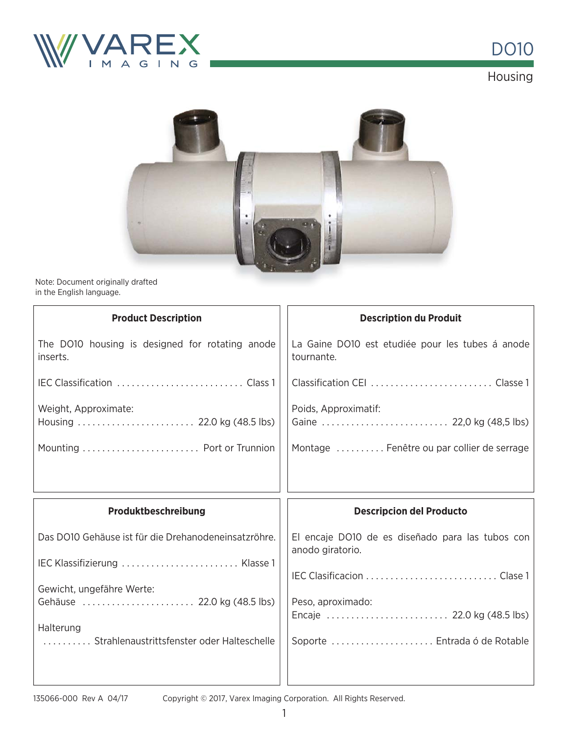

DO10 Housing



Note: Document originally drafted in the English language. ally

| <b>Product Description</b>                                  | <b>Description du Produit</b>                                        |
|-------------------------------------------------------------|----------------------------------------------------------------------|
| The DO10 housing is designed for rotating anode<br>inserts. | La Gaine DO10 est etudiée pour les tubes á anode<br>tournante.       |
|                                                             |                                                                      |
| Weight, Approximate:                                        | Poids, Approximatif:                                                 |
|                                                             | Montage  Fenêtre ou par collier de serrage                           |
|                                                             |                                                                      |
|                                                             |                                                                      |
| Produktbeschreibung                                         | <b>Descripcion del Producto</b>                                      |
| Das DO10 Gehäuse ist für die Drehanodeneinsatzröhre.        | El encaje DO10 de es diseñado para las tubos con<br>anodo giratorio. |
| IEC Klassifizierung  Klasse 1                               |                                                                      |
| Gewicht, ungefähre Werte:                                   |                                                                      |
| Gehäuse  22.0 kg (48.5 lbs)                                 | Peso, aproximado:                                                    |
| Halterung<br>Strahlenaustrittsfenster oder Halteschelle     | Soporte  Entrada ó de Rotable                                        |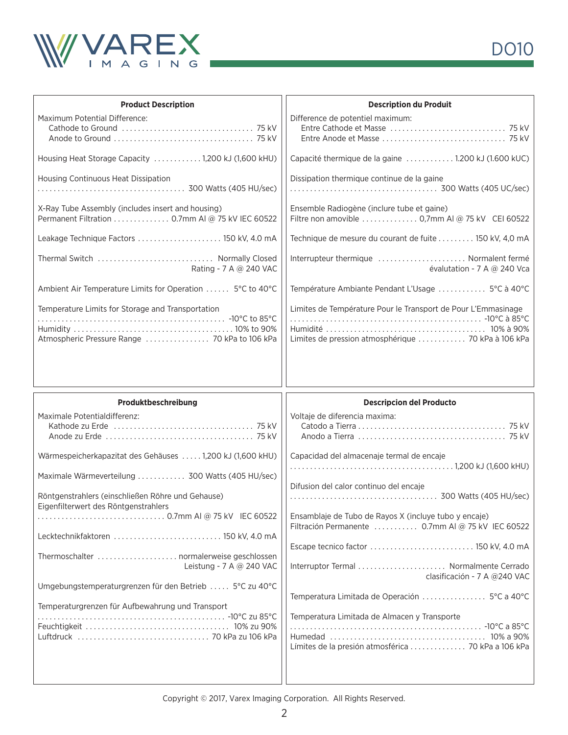

| <b>Product Description</b>                                | <b>Description du Produit</b>                                 |
|-----------------------------------------------------------|---------------------------------------------------------------|
| Maximum Potential Difference:                             | Difference de potentiel maximum:                              |
|                                                           |                                                               |
|                                                           |                                                               |
| Housing Heat Storage Capacity 1,200 kJ (1,600 kHU)        | Capacité thermique de la gaine  1.200 kJ (1.600 kUC)          |
| Housing Continuous Heat Dissipation                       | Dissipation thermique continue de la gaine                    |
|                                                           |                                                               |
| X-Ray Tube Assembly (includes insert and housing)         | Ensemble Radiogène (inclure tube et gaine)                    |
| Permanent Filtration  0.7mm AI @ 75 kV IEC 60522          | Filtre non amovible  0,7mm AI @ 75 kV CEI 60522               |
| Leakage Technique Factors  150 kV, 4.0 mA                 | Technique de mesure du courant de fuite  150 kV, 4,0 mA       |
| Thermal Switch  Normally Closed                           | Interrupteur thermique  Normalent fermé                       |
| Rating - 7 A @ 240 VAC                                    | évalutation - 7 A $@$ 240 Vca                                 |
| Ambient Air Temperature Limits for Operation  5°C to 40°C | Température Ambiante Pendant L'Usage  5°C à 40°C              |
| Temperature Limits for Storage and Transportation         | Limites de Température Pour le Transport de Pour L'Emmasinage |
|                                                           |                                                               |
|                                                           |                                                               |
| Atmospheric Pressure Range  70 kPa to 106 kPa             |                                                               |

| Produktbeschreibung                                                                                                                                                                                                                                                               | <b>Descripcion del Producto</b>                                                                                                                                                                                                                                             |
|-----------------------------------------------------------------------------------------------------------------------------------------------------------------------------------------------------------------------------------------------------------------------------------|-----------------------------------------------------------------------------------------------------------------------------------------------------------------------------------------------------------------------------------------------------------------------------|
| Maximale Potentialdifferenz:<br>Wärmespeicherkapazitat des Gehäuses  1,200 kJ (1,600 kHU)<br>Maximale Wärmeverteilung  300 Watts (405 HU/sec)<br>Röntgenstrahlers (einschließen Röhre und Gehause)<br>Eigenfilterwert des Röntgenstrahlers<br>Lecktechnikfaktoren  150 kV, 4.0 mA | Voltaje de diferencia maxima:<br>Capacidad del almacenaje termal de encaje<br>Difusion del calor continuo del encaje<br>Ensamblaje de Tubo de Rayos X (incluye tubo y encaje)<br>Filtración Permanente  0.7mm AI @ 75 kV IEC 60522<br>Escape tecnico factor  150 kV, 4.0 mA |
| Leistung - 7 A @ 240 VAC<br>Umgebungstemperaturgrenzen für den Betrieb  5°C zu 40°C<br>Temperaturgrenzen für Aufbewahrung und Transport                                                                                                                                           | Interruptor Termal  Normalmente Cerrado<br>clasificación - 7 A @240 VAC<br>Temperatura Limitada de Operación  5°C a 40°C<br>Temperatura Limitada de Almacen y Transporte                                                                                                    |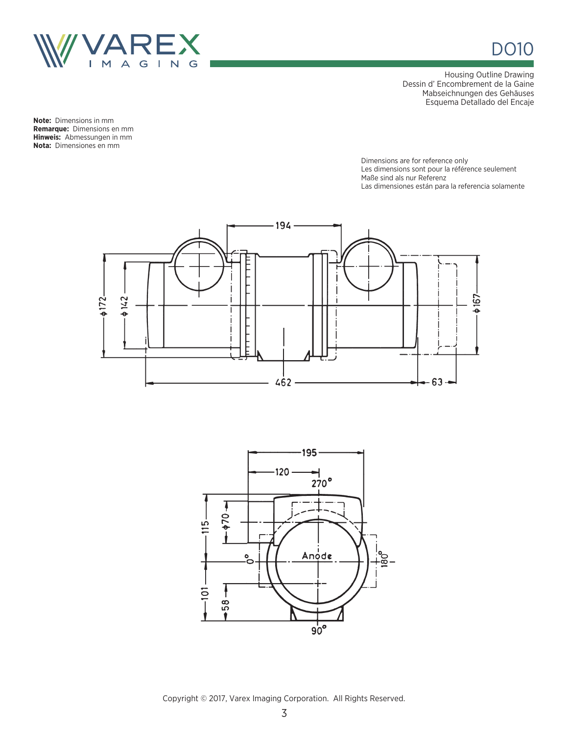

DO10

Housing Outline Drawing Dessin d' Encombrement de la Gaine Mabseichnungen des Gehäuses Esquema Detallado del Encaje

**Note:** Dimensions in mm **Remarque:** Dimensions en mm **Hinweis:** Abmessungen in mm **Nota:** Dimensiones en mm

> Dimensions are for reference only Les dimensions sont pour la référence seulement Maße sind als nur Referenz Las dimensiones están para la referencia solamente



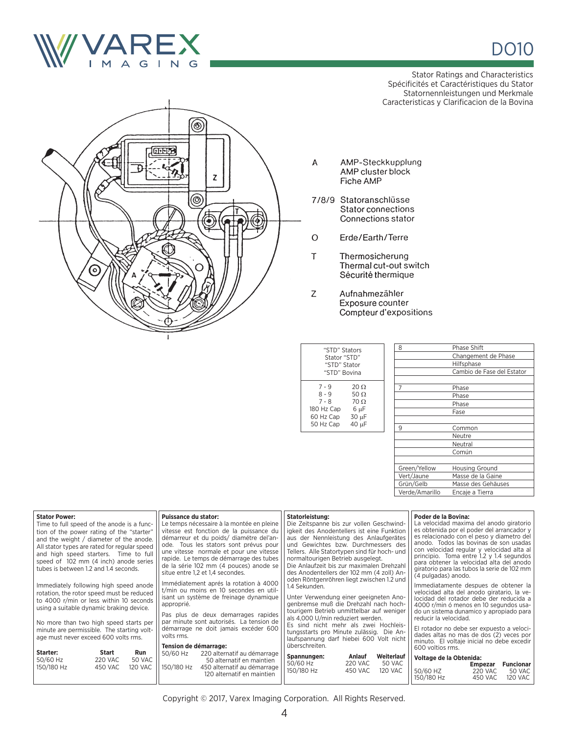

Stator Ratings and Characteristics Spécificités et Caractéristiques du Stator Statornennleistungen und Merkmale Caracteristicas y Clarificacion de la Bovina



- $\mathsf A$ AMP-Steckkupplung AMP cluster block Fiche AMP
- 7/8/9 Statoranschlüsse Stator connections Connections stator
- Erde/Earth/Terre  $\circ$
- $\top$ Thermosicherung Thermal cut-out switch Sécurité thermique
- $\mathsf{Z}$ Aufnahmezähler Exposure counter Compteur d'expositions

| "STD" Stators<br>Stator "STD"<br>"STD" Stator<br>"STD" Bovina       |                                                              |  |
|---------------------------------------------------------------------|--------------------------------------------------------------|--|
| 7 - 9<br>$8 - 9$<br>$7 - 8$<br>180 Hz Cap<br>60 Hz Cap<br>50 Hz Cap | 20 O<br>50 $\Omega$<br>$70 \Omega$<br>6 µF<br>30 µF<br>40 µF |  |
|                                                                     |                                                              |  |

| 8              | <b>Phase Shift</b>         |  |
|----------------|----------------------------|--|
|                | Changement de Phase        |  |
|                | Hilfsphase                 |  |
|                | Cambio de Fase del Estator |  |
|                |                            |  |
|                | Phase                      |  |
|                | Phase                      |  |
|                | Phase                      |  |
|                | Fase                       |  |
|                |                            |  |
| 9              | Common                     |  |
|                | Neutre                     |  |
|                | Neutral                    |  |
|                | Común                      |  |
|                |                            |  |
| Green/Yellow   | <b>Housing Ground</b>      |  |
| Vert/Jaune     | Masse de la Gaine          |  |
| Grün/Gelb      | Masse des Gehäuses         |  |
| Verde/Amarillo | Encaje a Tierra            |  |

| <b>Stator Power:</b><br>Time to full speed of the anode is a func-<br>tion of the power rating of the "starter"<br>and the weight / diameter of the anode.<br>All stator types are rated for regular speed<br>and high speed starters. Time to full<br>speed of 102 mm (4 inch) anode series<br>tubes is between 1.2 and 1.4 seconds.<br>Immediately following high speed anode<br>rotation, the rotor speed must be reduced<br>to 4000 r/min or less within 10 seconds<br>using a suitable dynamic braking device.<br>No more than two high speed starts per<br>minute are permissible. The starting volt-<br>age must never exceed 600 volts rms. | Puissance du stator:<br>Le temps nécessaire à la montée en pleine<br>vitesse est fonction de la puissance du<br>démarreur et du poids/ diamétre del'an-<br>ode. Tous les stators sont prévus pour<br>une vitesse normale et pour une vitesse<br>rapide. Le temps de démarrage des tubes<br>de la série 102 mm (4 pouces) anode se<br>situe entre 1.2 et 1.4 secondes.<br>Immédiatement aprés la rotation à 4000<br>t/min ou moins en 10 secondes en util-<br>isant un système de freinage dynamique<br>approprié.<br>Pas plus de deux demarrages rapides<br>par minute sont autorisés. La tension de<br>démarrage ne doit jamais excéder 600<br>volts rms.<br>Tension de démarrage: | Statorleistung:<br>Die Zeitspanne bis zur vollen Geschwind-<br>jakeit des Anodentellers ist eine Funktion<br>aus der Nennleistung des Anlaufgerätes<br>und Gewichtes bzw. Durchmessers des<br>Tellers. Alle Statortypen sind für hoch- und<br>normaltourigen Betrieb ausgelegt.<br>Die Anlaufzeit bis zur maximalen Drehzahl<br>des Anodentellers der 102 mm (4 zoll) An-<br>oden Röntgenröhren liegt zwischen 1.2 und<br>1.4 Sekunden.<br>Unter Verwendung einer geeigneten Ano-<br>genbremse muß die Drehzahl nach hoch-<br>tourigem Betrieb unmittelbar auf weniger<br>als 4,000 U/min reduziert werden.<br>Es sind nicht mehr als zwei Hochleis-<br>tungsstarts pro Minute zulässig. Die An-<br>laufspannung darf hiebei 600 Volt nicht<br>überschreiten. | Poder de la Bovina:<br>La velocidad maxima del anodo giratorio<br>es obtenida por el poder del arrancador y<br>es relacionado con el peso y diametro del<br>anodo. Todos las bovinas de son usadas<br>con velocidad regular y velocidad alta al<br>principio. Toma entre 1.2 y 1.4 segundos<br>para obtener la velocidad alta del anodo<br>giratorio para las tubos la serie de 102 mm<br>(4 pulgadas) anodo.<br>Immediatamente despues de obtener la<br>velocidad alta del anodo giratario. la ve-<br>locidad del rotador debe der reducida a<br>4000 r/min ó menos en 10 segundos usa-<br>do un sistema dunamico y apropiado para<br>reducir la velocidad.<br>El rotador no debe ser expuesto a veloci-<br>dades altas no mas de dos (2) veces por<br>minuto. El voltaje inicial no debe excedir<br>600 voltios rms. |
|-----------------------------------------------------------------------------------------------------------------------------------------------------------------------------------------------------------------------------------------------------------------------------------------------------------------------------------------------------------------------------------------------------------------------------------------------------------------------------------------------------------------------------------------------------------------------------------------------------------------------------------------------------|-------------------------------------------------------------------------------------------------------------------------------------------------------------------------------------------------------------------------------------------------------------------------------------------------------------------------------------------------------------------------------------------------------------------------------------------------------------------------------------------------------------------------------------------------------------------------------------------------------------------------------------------------------------------------------------|---------------------------------------------------------------------------------------------------------------------------------------------------------------------------------------------------------------------------------------------------------------------------------------------------------------------------------------------------------------------------------------------------------------------------------------------------------------------------------------------------------------------------------------------------------------------------------------------------------------------------------------------------------------------------------------------------------------------------------------------------------------|------------------------------------------------------------------------------------------------------------------------------------------------------------------------------------------------------------------------------------------------------------------------------------------------------------------------------------------------------------------------------------------------------------------------------------------------------------------------------------------------------------------------------------------------------------------------------------------------------------------------------------------------------------------------------------------------------------------------------------------------------------------------------------------------------------------------|
| Starter:<br><b>Start</b><br>Run<br>50/60 Hz<br>50 VAC<br>220 VAC<br>150/180 Hz<br><b>120 VAC</b><br>450 VAC                                                                                                                                                                                                                                                                                                                                                                                                                                                                                                                                         | 50/60 Hz<br>220 alternatif au démarrage<br>50 alternatif en maintien<br>150/180 Hz<br>450 alternatif au démarrage<br>120 alternatif en maintien                                                                                                                                                                                                                                                                                                                                                                                                                                                                                                                                     | Weiterlauf<br>Spannungen:<br>Anlauf<br>50/60 Hz<br><b>220 VAC</b><br>50 VAC<br>150/180 Hz<br>450 VAC<br><b>120 VAC</b>                                                                                                                                                                                                                                                                                                                                                                                                                                                                                                                                                                                                                                        | Voltage de la Obtenida:<br>Funcionar<br><b>Empezar</b><br>50/60 HZ<br><b>220 VAC</b><br>50 VAC<br>150/180 Hz<br>120 VAC<br>450 VAC                                                                                                                                                                                                                                                                                                                                                                                                                                                                                                                                                                                                                                                                                     |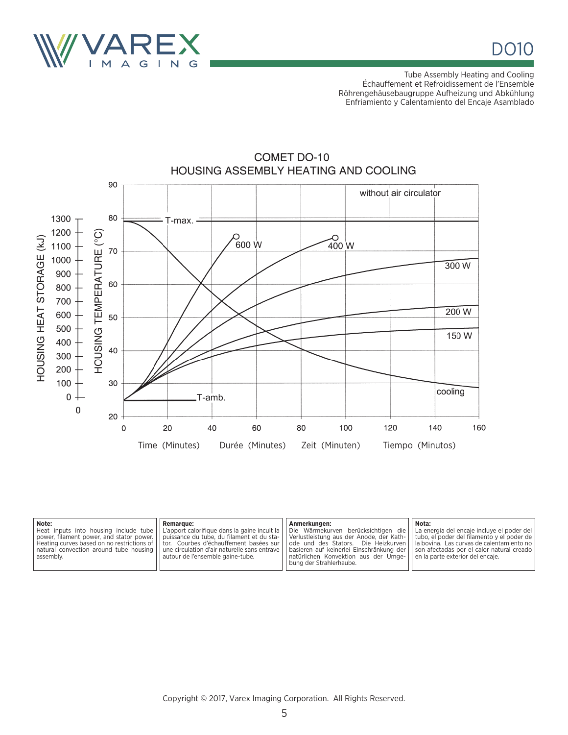

Tube Assembly Heating and Cooling Échauffement et Refroidissement de l'Ensemble Röhrengehäusebaugruppe Aufheizung und Abkühlung Enfriamiento y Calentamiento del Encaje Asamblado



## **COMET DO-10** HOUSING ASSEMBLY HEATING AND COOLING

| Note:<br><b>Remarque:</b><br>Heat inputs into housing include tube   L'apport calorifique dans la gaine incult la   Die Wärmekurven berücksichtigen die   La energia del encaje incluye el poder del<br>power, filament power, and stator power.   puissance du tube, du filament et du sta-   Verlustleistung aus der Anode, der Kath-   tubo, el poder del filamento y el poder de  <br>Heating curves based on no restrictions of    tor. Courbes d'échauffement basées sur    ode und des Stators. Die Heizkurven    la bovina. Las curvas de calentamiento no  <br>natural convection around tube housing   une circulation d'air naturelle sans entrave   basieren auf keinerlei Einschränkung der   son afectadas por el calor natural creado  <br>autour de l'ensemble gaine-tube.<br>assembly. | Anmerkungen:<br>  natürlichen Konvektion aus der Umge-   en la parte exterior del encaje.<br>l bung der Strahlerhaube. | Nota: |
|---------------------------------------------------------------------------------------------------------------------------------------------------------------------------------------------------------------------------------------------------------------------------------------------------------------------------------------------------------------------------------------------------------------------------------------------------------------------------------------------------------------------------------------------------------------------------------------------------------------------------------------------------------------------------------------------------------------------------------------------------------------------------------------------------------|------------------------------------------------------------------------------------------------------------------------|-------|
|---------------------------------------------------------------------------------------------------------------------------------------------------------------------------------------------------------------------------------------------------------------------------------------------------------------------------------------------------------------------------------------------------------------------------------------------------------------------------------------------------------------------------------------------------------------------------------------------------------------------------------------------------------------------------------------------------------------------------------------------------------------------------------------------------------|------------------------------------------------------------------------------------------------------------------------|-------|